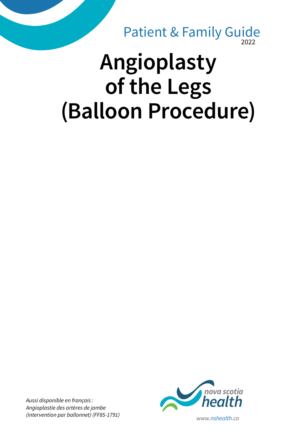2022 Patient & Family Guide

# **Angioplasty of the Legs (Balloon Procedure)**

*Aussi disponible en français : Angioplastie des artères de jambe*

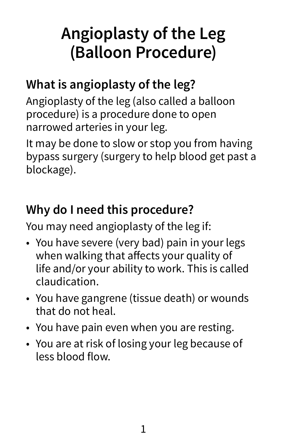## **Angioplasty of the Leg (Balloon Procedure)**

#### **What is angioplasty of the leg?**

Angioplasty of the leg (also called a balloon procedure) is a procedure done to open narrowed arteries in your leg.

It may be done to slow or stop you from having bypass surgery (surgery to help blood get past a blockage).

#### **Why do I need this procedure?**

You may need angioplasty of the leg if:

- You have severe (very bad) pain in your legs when walking that affects your quality of life and/or your ability to work. This is called claudication.
- You have gangrene (tissue death) or wounds that do not heal.
- You have pain even when you are resting.
- You are at risk of losing your leg because of less blood flow.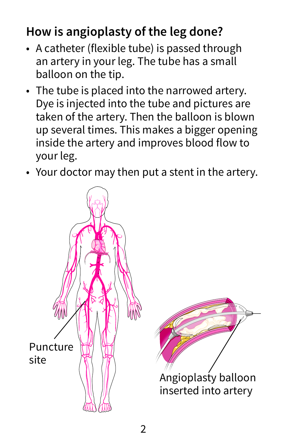#### **How is angioplasty of the leg done?**

- A catheter (flexible tube) is passed through an artery in your leg. The tube has a small balloon on the tip.
- The tube is placed into the narrowed artery. Dye is injected into the tube and pictures are taken of the artery. Then the balloon is blown up several times. This makes a bigger opening inside the artery and improves blood flow to your leg.
- Your doctor may then put a stent in the artery.

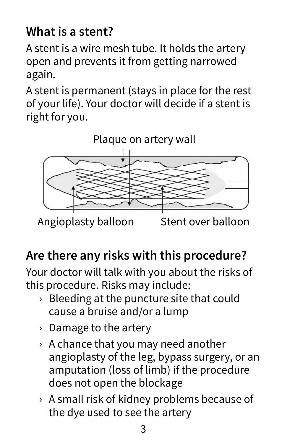#### **What is a stent?**

A stent is a wire mesh tube. It holds the artery open and prevents it from getting narrowed again.

A stent is permanent (stays in place for the rest of your life). Your doctor will decide if a stent is right for you.



### **Are there any risks with this procedure?**

Your doctor will talk with you about the risks of this procedure. Risks may include:

- $\rightarrow$  Bleeding at the puncture site that could cause a bruise and/or a lump
- › Damage to the artery
- $\rightarrow$  A chance that you may need another angioplasty of the leg, bypass surgery, or an amputation (loss of limb) if the procedure does not open the blockage
- › A small risk of kidney problems because of the dye used to see the artery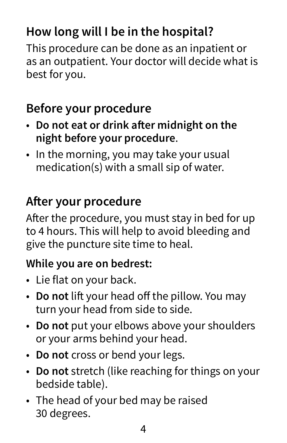#### **How long will I be in the hospital?**

This procedure can be done as an inpatient or as an outpatient. Your doctor will decide what is best for you.

#### **Before your procedure**

- **Do not eat or drink after midnight on the night before your procedure**.
- In the morning, you may take your usual medication(s) with a small sip of water.

#### **After your procedure**

After the procedure, you must stay in bed for up to 4 hours. This will help to avoid bleeding and give the puncture site time to heal.

#### **While you are on bedrest:**

- Lie flat on your back.
- **Do not** lift your head off the pillow. You may turn your head from side to side.
- **Do not** put your elbows above your shoulders or your arms behind your head.
- **Do not** cross or bend your legs.
- **Do not** stretch (like reaching for things on your bedside table).
- The head of your bed may be raised 30 degrees.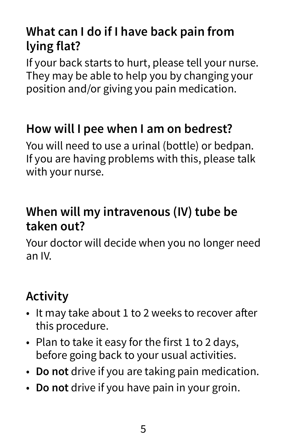#### **What can I do if I have back pain from lying flat?**

If your back starts to hurt, please tell your nurse. They may be able to help you by changing your position and/or giving you pain medication.

#### **How will I pee when I am on bedrest?**

You will need to use a urinal (bottle) or bedpan. If you are having problems with this, please talk with your nurse.

#### **When will my intravenous (IV) tube be taken out?**

Your doctor will decide when you no longer need an IV.

#### **Activity**

- It may take about 1 to 2 weeks to recover after this procedure.
- Plan to take it easy for the first 1 to 2 days, before going back to your usual activities.
- **Do not** drive if you are taking pain medication.
- **Do not** drive if you have pain in your groin.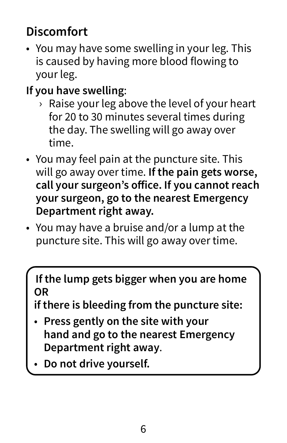#### **Discomfort**

- You may have some swelling in your leg. This is caused by having more blood flowing to your leg.
- **If you have swelling**:
	- › Raise your leg above the level of your heart for 20 to 30 minutes several times during the day. The swelling will go away over time.
- You may feel pain at the puncture site. This will go away over time. **If the pain gets worse, call your surgeon's office. If you cannot reach your surgeon, go to the nearest Emergency Department right away.**
- You may have a bruise and/or a lump at the puncture site. This will go away over time.

**If the lump gets bigger when you are home OR** 

**if there is bleeding from the puncture site:**

- **Press gently on the site with your hand and go to the nearest Emergency Department right away**.
- **Do not drive yourself.**